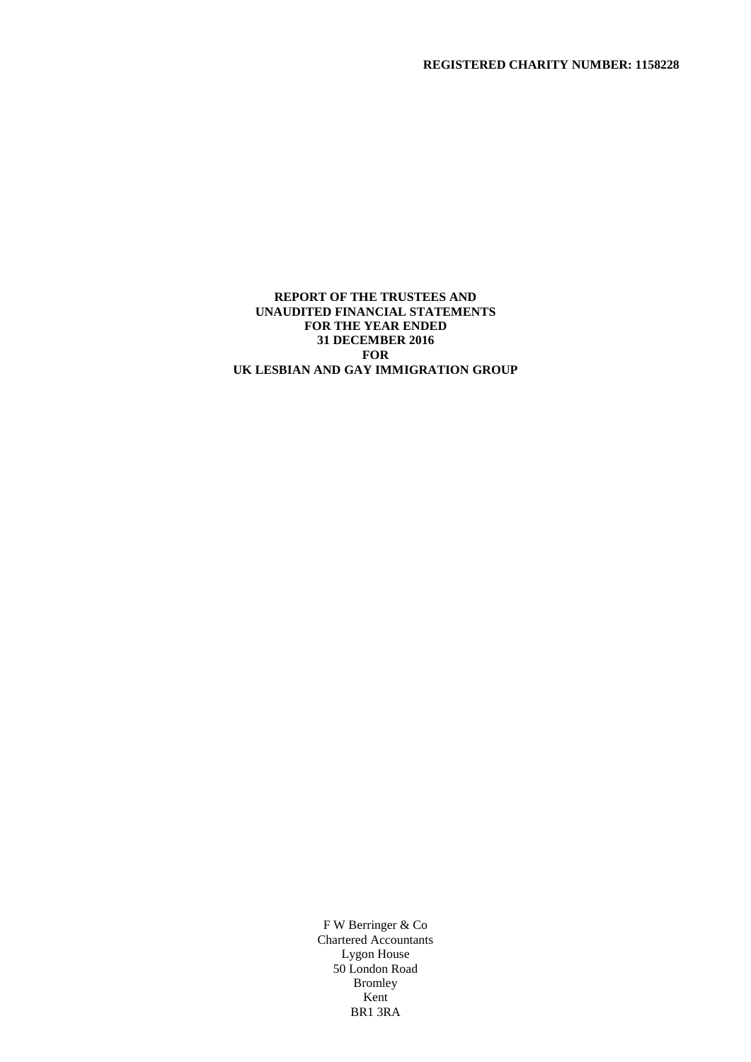### **REPORT OF THE TRUSTEES AND UNAUDITED FINANCIAL STATEMENTS FOR THE YEAR ENDED 31 DECEMBER 2016 FOR UK LESBIAN AND GAY IMMIGRATION GROUP**

F W Berringer & Co Chartered Accountants Lygon House 50 London Road Bromley Kent BR1 3RA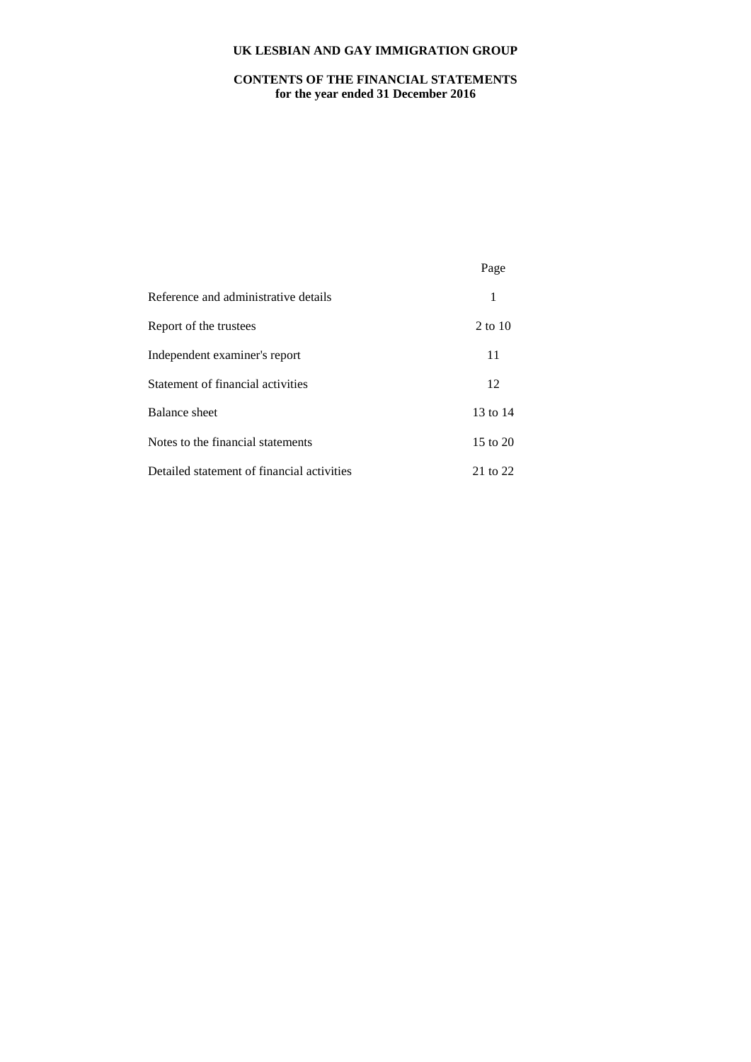# **CONTENTS OF THE FINANCIAL STATEMENTS for the year ended 31 December 2016**

|                                            | Page         |
|--------------------------------------------|--------------|
| Reference and administrative details       | 1            |
| Report of the trustees                     | $2$ to 10    |
| Independent examiner's report              | 11           |
| Statement of financial activities          | 12           |
| Balance sheet                              | 13 to 14     |
| Notes to the financial statements          | $15$ to $20$ |
| Detailed statement of financial activities | 21 to 22     |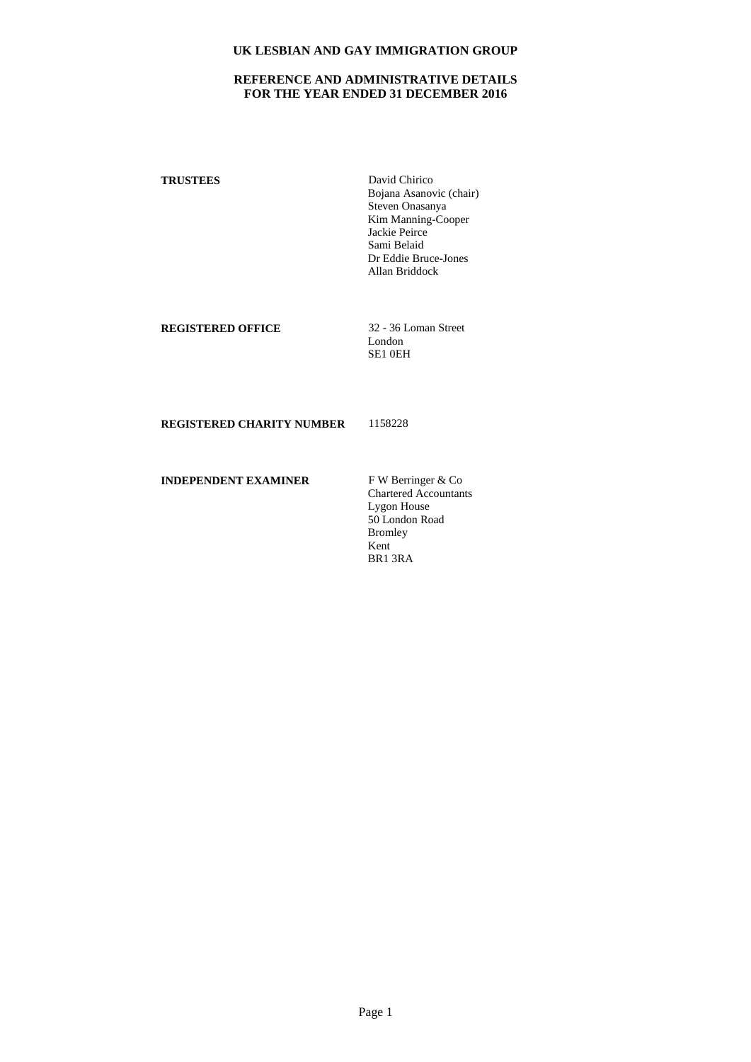# **REFERENCE AND ADMINISTRATIVE DETAILS FOR THE YEAR ENDED 31 DECEMBER 2016**

**TRUSTEES** David Chirico Bojana Asanovic (chair) Steven Onasanya Kim Manning-Cooper Jackie Peirce Sami Belaid Dr Eddie Bruce-Jones Allan Briddock

**REGISTERED OFFICE** 32 - 36 Loman Street

London SE1 0EH

**REGISTERED CHARITY NUMBER** 1158228

**INDEPENDENT EXAMINER** F W Berringer & Co

Chartered Accountants Lygon House 50 London Road Bromley Kent BR1 3RA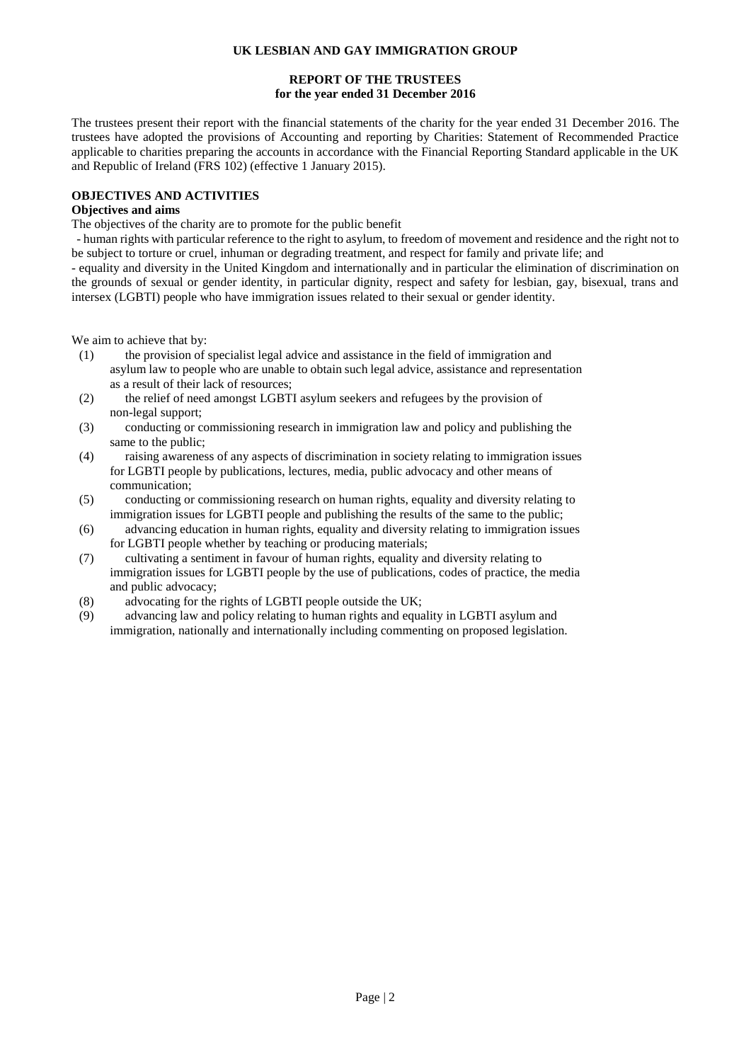# **REPORT OF THE TRUSTEES for the year ended 31 December 2016**

The trustees present their report with the financial statements of the charity for the year ended 31 December 2016. The trustees have adopted the provisions of Accounting and reporting by Charities: Statement of Recommended Practice applicable to charities preparing the accounts in accordance with the Financial Reporting Standard applicable in the UK and Republic of Ireland (FRS 102) (effective 1 January 2015).

# **OBJECTIVES AND ACTIVITIES**

# **Objectives and aims**

The objectives of the charity are to promote for the public benefit

- human rights with particular reference to the right to asylum, to freedom of movement and residence and the right not to be subject to torture or cruel, inhuman or degrading treatment, and respect for family and private life; and

- equality and diversity in the United Kingdom and internationally and in particular the elimination of discrimination on the grounds of sexual or gender identity, in particular dignity, respect and safety for lesbian, gay, bisexual, trans and intersex (LGBTI) people who have immigration issues related to their sexual or gender identity.

We aim to achieve that by:

- (1) the provision of specialist legal advice and assistance in the field of immigration and asylum law to people who are unable to obtain such legal advice, assistance and representation as a result of their lack of resources;
- (2) the relief of need amongst LGBTI asylum seekers and refugees by the provision of non-legal support;
- (3) conducting or commissioning research in immigration law and policy and publishing the same to the public;
- (4) raising awareness of any aspects of discrimination in society relating to immigration issues for LGBTI people by publications, lectures, media, public advocacy and other means of communication;
- (5) conducting or commissioning research on human rights, equality and diversity relating to immigration issues for LGBTI people and publishing the results of the same to the public;
- (6) advancing education in human rights, equality and diversity relating to immigration issues for LGBTI people whether by teaching or producing materials;
- (7) cultivating a sentiment in favour of human rights, equality and diversity relating to immigration issues for LGBTI people by the use of publications, codes of practice, the media and public advocacy;
- (8) advocating for the rights of LGBTI people outside the UK;
- (9) advancing law and policy relating to human rights and equality in LGBTI asylum and immigration, nationally and internationally including commenting on proposed legislation.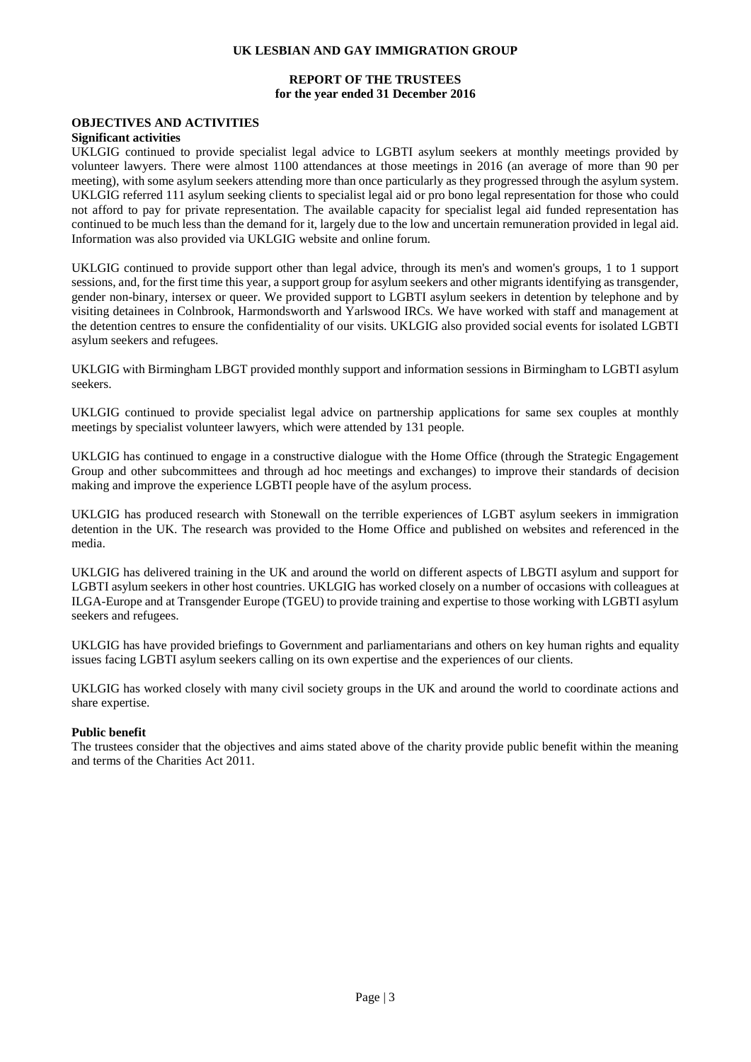## **REPORT OF THE TRUSTEES for the year ended 31 December 2016**

# **OBJECTIVES AND ACTIVITIES**

#### **Significant activities**

UKLGIG continued to provide specialist legal advice to LGBTI asylum seekers at monthly meetings provided by volunteer lawyers. There were almost 1100 attendances at those meetings in 2016 (an average of more than 90 per meeting), with some asylum seekers attending more than once particularly as they progressed through the asylum system. UKLGIG referred 111 asylum seeking clients to specialist legal aid or pro bono legal representation for those who could not afford to pay for private representation. The available capacity for specialist legal aid funded representation has continued to be much less than the demand for it, largely due to the low and uncertain remuneration provided in legal aid. Information was also provided via UKLGIG website and online forum.

UKLGIG continued to provide support other than legal advice, through its men's and women's groups, 1 to 1 support sessions, and, for the first time this year, a support group for asylum seekers and other migrants identifying as transgender, gender non-binary, intersex or queer. We provided support to LGBTI asylum seekers in detention by telephone and by visiting detainees in Colnbrook, Harmondsworth and Yarlswood IRCs. We have worked with staff and management at the detention centres to ensure the confidentiality of our visits. UKLGIG also provided social events for isolated LGBTI asylum seekers and refugees.

UKLGIG with Birmingham LBGT provided monthly support and information sessions in Birmingham to LGBTI asylum seekers.

UKLGIG continued to provide specialist legal advice on partnership applications for same sex couples at monthly meetings by specialist volunteer lawyers, which were attended by 131 people.

UKLGIG has continued to engage in a constructive dialogue with the Home Office (through the Strategic Engagement Group and other subcommittees and through ad hoc meetings and exchanges) to improve their standards of decision making and improve the experience LGBTI people have of the asylum process.

UKLGIG has produced research with Stonewall on the terrible experiences of LGBT asylum seekers in immigration detention in the UK. The research was provided to the Home Office and published on websites and referenced in the media.

UKLGIG has delivered training in the UK and around the world on different aspects of LBGTI asylum and support for LGBTI asylum seekers in other host countries. UKLGIG has worked closely on a number of occasions with colleagues at ILGA-Europe and at Transgender Europe (TGEU) to provide training and expertise to those working with LGBTI asylum seekers and refugees.

UKLGIG has have provided briefings to Government and parliamentarians and others on key human rights and equality issues facing LGBTI asylum seekers calling on its own expertise and the experiences of our clients.

UKLGIG has worked closely with many civil society groups in the UK and around the world to coordinate actions and share expertise.

#### **Public benefit**

The trustees consider that the objectives and aims stated above of the charity provide public benefit within the meaning and terms of the Charities Act 2011.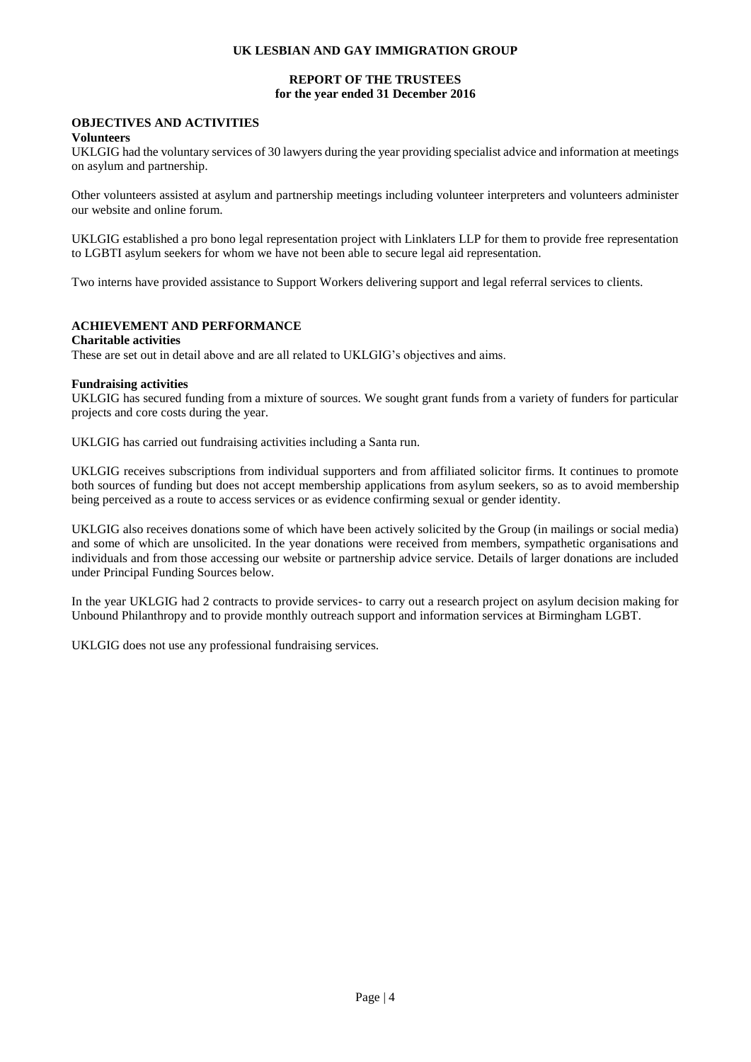# **REPORT OF THE TRUSTEES for the year ended 31 December 2016**

# **OBJECTIVES AND ACTIVITIES**

### **Volunteers**

UKLGIG had the voluntary services of 30 lawyers during the year providing specialist advice and information at meetings on asylum and partnership.

Other volunteers assisted at asylum and partnership meetings including volunteer interpreters and volunteers administer our website and online forum.

UKLGIG established a pro bono legal representation project with Linklaters LLP for them to provide free representation to LGBTI asylum seekers for whom we have not been able to secure legal aid representation.

Two interns have provided assistance to Support Workers delivering support and legal referral services to clients.

# **ACHIEVEMENT AND PERFORMANCE**

#### **Charitable activities**

These are set out in detail above and are all related to UKLGIG's objectives and aims.

#### **Fundraising activities**

UKLGIG has secured funding from a mixture of sources. We sought grant funds from a variety of funders for particular projects and core costs during the year.

UKLGIG has carried out fundraising activities including a Santa run.

UKLGIG receives subscriptions from individual supporters and from affiliated solicitor firms. It continues to promote both sources of funding but does not accept membership applications from asylum seekers, so as to avoid membership being perceived as a route to access services or as evidence confirming sexual or gender identity.

UKLGIG also receives donations some of which have been actively solicited by the Group (in mailings or social media) and some of which are unsolicited. In the year donations were received from members, sympathetic organisations and individuals and from those accessing our website or partnership advice service. Details of larger donations are included under Principal Funding Sources below.

In the year UKLGIG had 2 contracts to provide services- to carry out a research project on asylum decision making for Unbound Philanthropy and to provide monthly outreach support and information services at Birmingham LGBT.

UKLGIG does not use any professional fundraising services.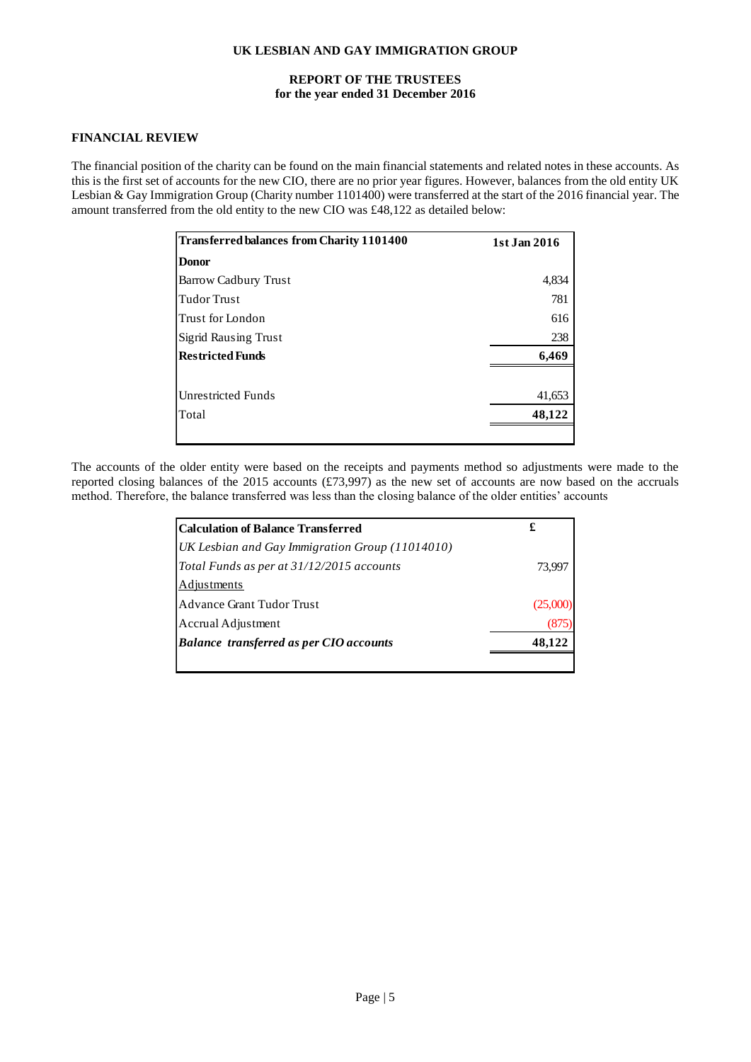### **REPORT OF THE TRUSTEES for the year ended 31 December 2016**

### **FINANCIAL REVIEW**

The financial position of the charity can be found on the main financial statements and related notes in these accounts. As this is the first set of accounts for the new CIO, there are no prior year figures. However, balances from the old entity UK Lesbian & Gay Immigration Group (Charity number 1101400) were transferred at the start of the 2016 financial year. The amount transferred from the old entity to the new CIO was £48,122 as detailed below:

| <b>Transferred balances from Charity 1101400</b> | 1st Jan 2016 |
|--------------------------------------------------|--------------|
| <b>Donor</b>                                     |              |
| <b>Barrow Cadbury Trust</b>                      | 4,834        |
| <b>Tudor Trust</b>                               | 781          |
| Trust for London                                 | 616          |
| <b>Sigrid Rausing Trust</b>                      | 238          |
| <b>Restricted Funds</b>                          | 6,469        |
| <b>Unrestricted Funds</b>                        | 41,653       |
| Total                                            | 48,122       |

The accounts of the older entity were based on the receipts and payments method so adjustments were made to the reported closing balances of the 2015 accounts (£73,997) as the new set of accounts are now based on the accruals method. Therefore, the balance transferred was less than the closing balance of the older entities' accounts

| Calculation of Balance Transferred              | £        |
|-------------------------------------------------|----------|
| UK Lesbian and Gay Immigration Group (11014010) |          |
| Total Funds as per at 31/12/2015 accounts       | 73.997   |
| <b>Adjustments</b>                              |          |
| <b>Advance Grant Tudor Trust</b>                | (25,000) |
| Accrual Adjustment                              |          |
| <b>Balance transferred as per CIO accounts</b>  | 48.122   |
|                                                 |          |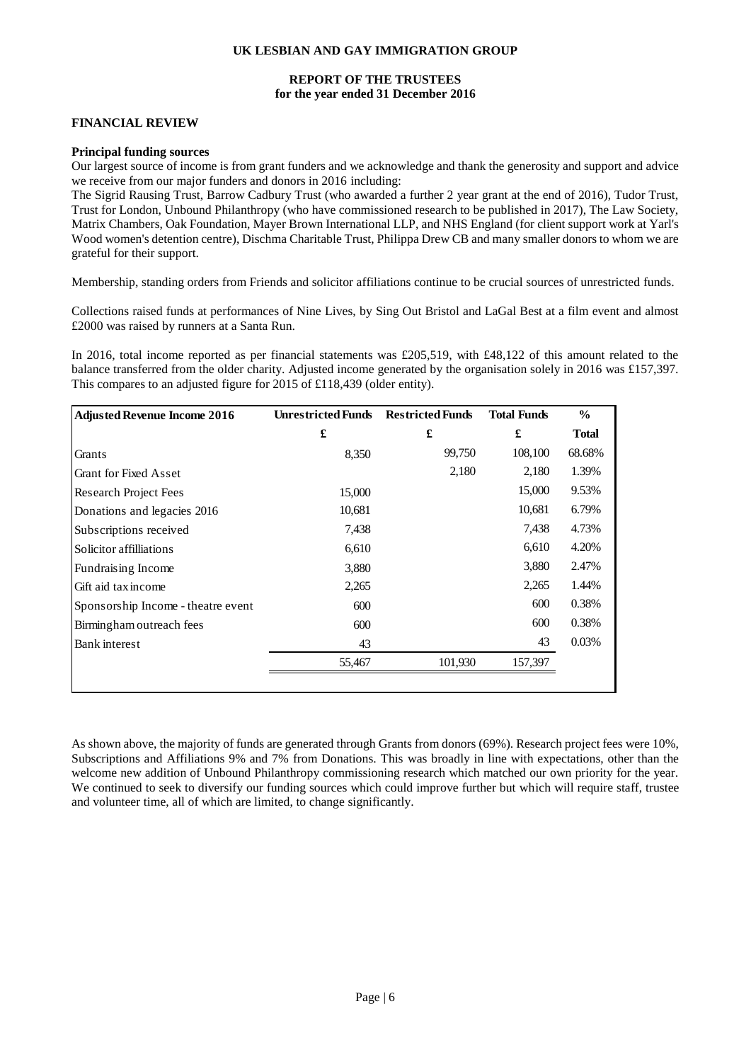# **REPORT OF THE TRUSTEES for the year ended 31 December 2016**

## **FINANCIAL REVIEW**

#### **Principal funding sources**

Our largest source of income is from grant funders and we acknowledge and thank the generosity and support and advice we receive from our major funders and donors in 2016 including:

The Sigrid Rausing Trust, Barrow Cadbury Trust (who awarded a further 2 year grant at the end of 2016), Tudor Trust, Trust for London, Unbound Philanthropy (who have commissioned research to be published in 2017), The Law Society, Matrix Chambers, Oak Foundation, Mayer Brown International LLP, and NHS England (for client support work at Yarl's Wood women's detention centre), Dischma Charitable Trust, Philippa Drew CB and many smaller donors to whom we are grateful for their support.

Membership, standing orders from Friends and solicitor affiliations continue to be crucial sources of unrestricted funds.

Collections raised funds at performances of Nine Lives, by Sing Out Bristol and LaGal Best at a film event and almost £2000 was raised by runners at a Santa Run.

In 2016, total income reported as per financial statements was £205,519, with £48,122 of this amount related to the balance transferred from the older charity. Adjusted income generated by the organisation solely in 2016 was £157,397. This compares to an adjusted figure for 2015 of £118,439 (older entity).

| <b>Adjusted Revenue Income 2016</b> | <b>Unrestricted Funds</b> | <b>Restricted Funds</b> | <b>Total Funds</b> | $\frac{0}{0}$ |
|-------------------------------------|---------------------------|-------------------------|--------------------|---------------|
|                                     | £                         | £                       | £                  | <b>Total</b>  |
| Grants                              | 8,350                     | 99,750                  | 108,100            | 68.68%        |
| <b>Grant for Fixed Asset</b>        |                           | 2,180                   | 2,180              | 1.39%         |
| Research Project Fees               | 15,000                    |                         | 15,000             | 9.53%         |
| Donations and legacies 2016         | 10,681                    |                         | 10,681             | 6.79%         |
| Subscriptions received              | 7,438                     |                         | 7,438              | 4.73%         |
| Solicitor affilliations             | 6,610                     |                         | 6,610              | 4.20%         |
| Fundraising Income                  | 3,880                     |                         | 3,880              | 2.47%         |
| Gift aid tax income                 | 2,265                     |                         | 2,265              | 1.44%         |
| Sponsorship Income - theatre event  | 600                       |                         | 600                | 0.38%         |
| Birmingham outreach fees            | 600                       |                         | 600                | 0.38%         |
| <b>Bank</b> interest                | 43                        |                         | 43                 | 0.03%         |
|                                     | 55,467                    | 101,930                 | 157,397            |               |
|                                     |                           |                         |                    |               |

As shown above, the majority of funds are generated through Grants from donors (69%). Research project fees were 10%, Subscriptions and Affiliations 9% and 7% from Donations. This was broadly in line with expectations, other than the welcome new addition of Unbound Philanthropy commissioning research which matched our own priority for the year. We continued to seek to diversify our funding sources which could improve further but which will require staff, trustee and volunteer time, all of which are limited, to change significantly.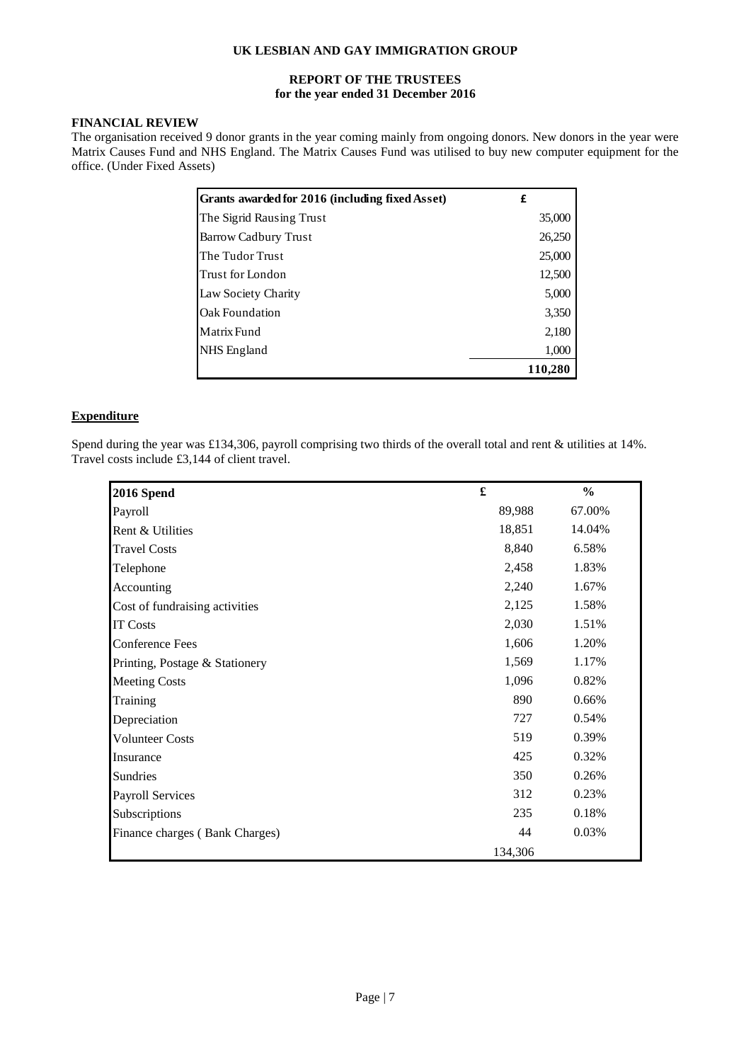# **REPORT OF THE TRUSTEES for the year ended 31 December 2016**

# **FINANCIAL REVIEW**

The organisation received 9 donor grants in the year coming mainly from ongoing donors. New donors in the year were Matrix Causes Fund and NHS England. The Matrix Causes Fund was utilised to buy new computer equipment for the office. (Under Fixed Assets)

| Grants awarded for 2016 (including fixed Asset) | £       |
|-------------------------------------------------|---------|
| The Sigrid Rausing Trust                        | 35,000  |
| Barrow Cadbury Trust                            | 26,250  |
| The Tudor Trust                                 | 25,000  |
| Trust for London                                | 12,500  |
| Law Society Charity                             | 5,000   |
| Oak Foundation                                  | 3,350   |
| Matrix Fund                                     | 2,180   |
| NHS England                                     | 1,000   |
|                                                 | 110.280 |

# **Expenditure**

Spend during the year was £134,306, payroll comprising two thirds of the overall total and rent & utilities at 14%. Travel costs include £3,144 of client travel.

| 2016 Spend                     | £       | $\frac{0}{0}$ |
|--------------------------------|---------|---------------|
| Payroll                        | 89,988  | 67.00%        |
| Rent & Utilities               | 18,851  | 14.04%        |
| <b>Travel Costs</b>            | 8,840   | 6.58%         |
| Telephone                      | 2,458   | 1.83%         |
| Accounting                     | 2,240   | 1.67%         |
| Cost of fundraising activities | 2,125   | 1.58%         |
| <b>IT Costs</b>                | 2,030   | 1.51%         |
| <b>Conference Fees</b>         | 1,606   | 1.20%         |
| Printing, Postage & Stationery | 1,569   | 1.17%         |
| <b>Meeting Costs</b>           | 1,096   | 0.82%         |
| Training                       | 890     | 0.66%         |
| Depreciation                   | 727     | 0.54%         |
| <b>Volunteer Costs</b>         | 519     | 0.39%         |
| Insurance                      | 425     | 0.32%         |
| Sundries                       | 350     | 0.26%         |
| <b>Payroll Services</b>        | 312     | 0.23%         |
| Subscriptions                  | 235     | 0.18%         |
| Finance charges (Bank Charges) | 44      | 0.03%         |
|                                | 134,306 |               |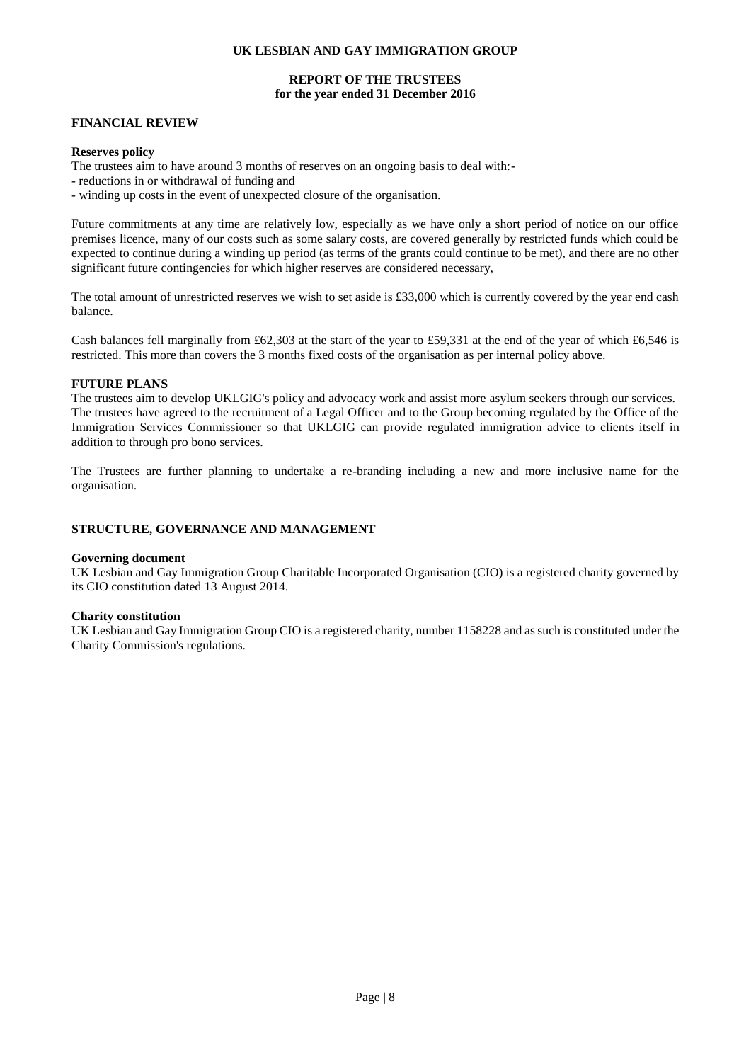# **REPORT OF THE TRUSTEES for the year ended 31 December 2016**

# **FINANCIAL REVIEW**

#### **Reserves policy**

The trustees aim to have around 3 months of reserves on an ongoing basis to deal with:-

- reductions in or withdrawal of funding and
- winding up costs in the event of unexpected closure of the organisation.

Future commitments at any time are relatively low, especially as we have only a short period of notice on our office premises licence, many of our costs such as some salary costs, are covered generally by restricted funds which could be expected to continue during a winding up period (as terms of the grants could continue to be met), and there are no other significant future contingencies for which higher reserves are considered necessary,

The total amount of unrestricted reserves we wish to set aside is £33,000 which is currently covered by the year end cash balance.

Cash balances fell marginally from £62,303 at the start of the year to £59,331 at the end of the year of which £6,546 is restricted. This more than covers the 3 months fixed costs of the organisation as per internal policy above.

## **FUTURE PLANS**

The trustees aim to develop UKLGIG's policy and advocacy work and assist more asylum seekers through our services. The trustees have agreed to the recruitment of a Legal Officer and to the Group becoming regulated by the Office of the Immigration Services Commissioner so that UKLGIG can provide regulated immigration advice to clients itself in addition to through pro bono services.

The Trustees are further planning to undertake a re-branding including a new and more inclusive name for the organisation.

# **STRUCTURE, GOVERNANCE AND MANAGEMENT**

#### **Governing document**

UK Lesbian and Gay Immigration Group Charitable Incorporated Organisation (CIO) is a registered charity governed by its CIO constitution dated 13 August 2014.

#### **Charity constitution**

UK Lesbian and Gay Immigration Group CIO is a registered charity, number 1158228 and as such is constituted under the Charity Commission's regulations.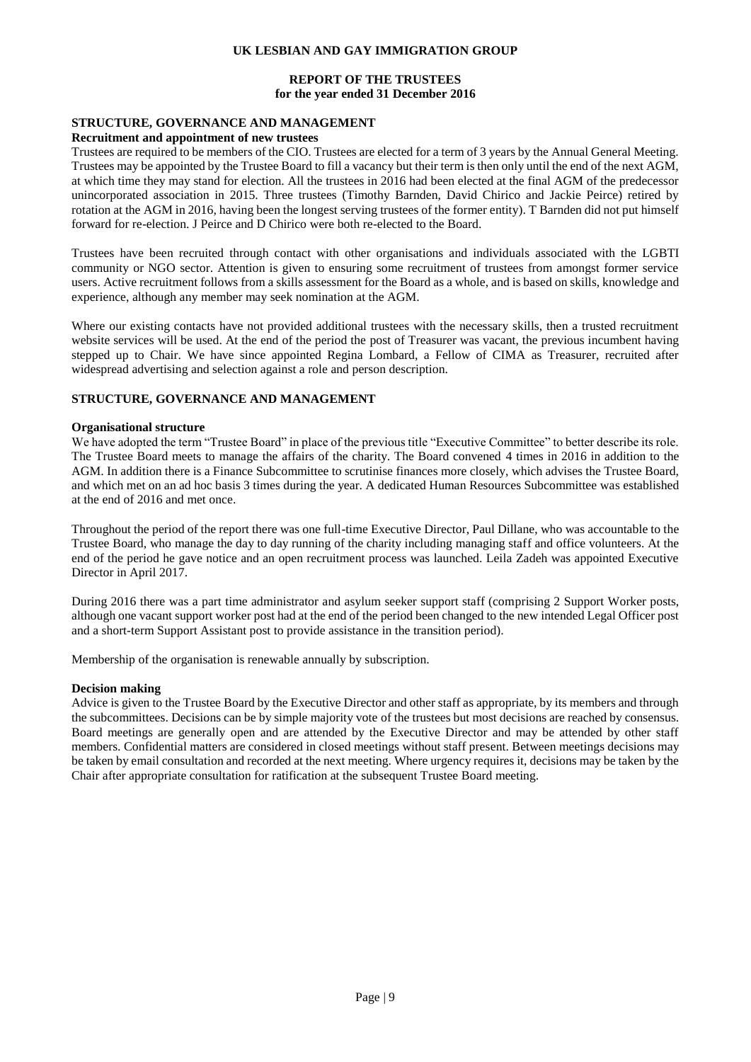## **REPORT OF THE TRUSTEES for the year ended 31 December 2016**

## **STRUCTURE, GOVERNANCE AND MANAGEMENT**

#### **Recruitment and appointment of new trustees**

Trustees are required to be members of the CIO. Trustees are elected for a term of 3 years by the Annual General Meeting. Trustees may be appointed by the Trustee Board to fill a vacancy but their term is then only until the end of the next AGM, at which time they may stand for election. All the trustees in 2016 had been elected at the final AGM of the predecessor unincorporated association in 2015. Three trustees (Timothy Barnden, David Chirico and Jackie Peirce) retired by rotation at the AGM in 2016, having been the longest serving trustees of the former entity). T Barnden did not put himself forward for re-election. J Peirce and D Chirico were both re-elected to the Board.

Trustees have been recruited through contact with other organisations and individuals associated with the LGBTI community or NGO sector. Attention is given to ensuring some recruitment of trustees from amongst former service users. Active recruitment follows from a skills assessment for the Board as a whole, and is based on skills, knowledge and experience, although any member may seek nomination at the AGM.

Where our existing contacts have not provided additional trustees with the necessary skills, then a trusted recruitment website services will be used. At the end of the period the post of Treasurer was vacant, the previous incumbent having stepped up to Chair. We have since appointed Regina Lombard, a Fellow of CIMA as Treasurer, recruited after widespread advertising and selection against a role and person description.

#### **STRUCTURE, GOVERNANCE AND MANAGEMENT**

#### **Organisational structure**

We have adopted the term "Trustee Board" in place of the previous title "Executive Committee" to better describe its role. The Trustee Board meets to manage the affairs of the charity. The Board convened 4 times in 2016 in addition to the AGM. In addition there is a Finance Subcommittee to scrutinise finances more closely, which advises the Trustee Board, and which met on an ad hoc basis 3 times during the year. A dedicated Human Resources Subcommittee was established at the end of 2016 and met once.

Throughout the period of the report there was one full-time Executive Director, Paul Dillane, who was accountable to the Trustee Board, who manage the day to day running of the charity including managing staff and office volunteers. At the end of the period he gave notice and an open recruitment process was launched. Leila Zadeh was appointed Executive Director in April 2017.

During 2016 there was a part time administrator and asylum seeker support staff (comprising 2 Support Worker posts, although one vacant support worker post had at the end of the period been changed to the new intended Legal Officer post and a short-term Support Assistant post to provide assistance in the transition period).

Membership of the organisation is renewable annually by subscription.

#### **Decision making**

Advice is given to the Trustee Board by the Executive Director and other staff as appropriate, by its members and through the subcommittees. Decisions can be by simple majority vote of the trustees but most decisions are reached by consensus. Board meetings are generally open and are attended by the Executive Director and may be attended by other staff members. Confidential matters are considered in closed meetings without staff present. Between meetings decisions may be taken by email consultation and recorded at the next meeting. Where urgency requires it, decisions may be taken by the Chair after appropriate consultation for ratification at the subsequent Trustee Board meeting.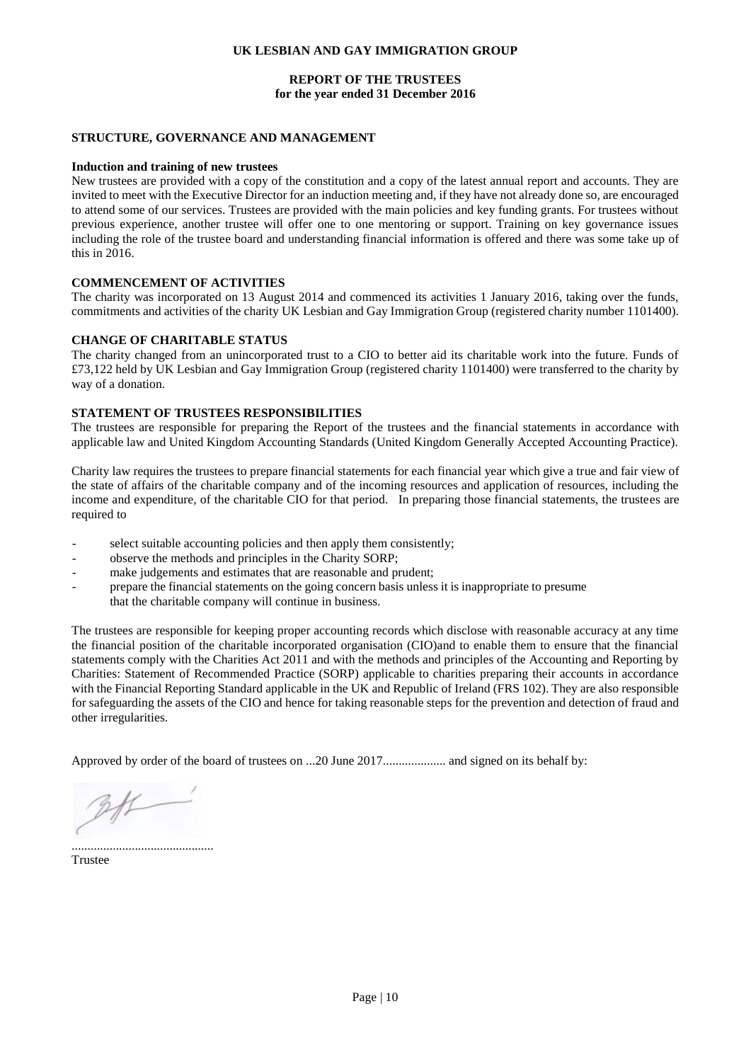### **REPORT OF THE TRUSTEES for the year ended 31 December 2016**

#### **STRUCTURE, GOVERNANCE AND MANAGEMENT**

#### **Induction and training of new trustees**

New trustees are provided with a copy of the constitution and a copy of the latest annual report and accounts. They are invited to meet with the Executive Director for an induction meeting and, if they have not already done so, are encouraged to attend some of our services. Trustees are provided with the main policies and key funding grants. For trustees without previous experience, another trustee will offer one to one mentoring or support. Training on key governance issues including the role of the trustee board and understanding financial information is offered and there was some take up of this in 2016.

#### **COMMENCEMENT OF ACTIVITIES**

The charity was incorporated on 13 August 2014 and commenced its activities 1 January 2016, taking over the funds, commitments and activities of the charity UK Lesbian and Gay Immigration Group (registered charity number 1101400).

#### **CHANGE OF CHARITABLE STATUS**

The charity changed from an unincorporated trust to a CIO to better aid its charitable work into the future. Funds of £73,122 held by UK Lesbian and Gay Immigration Group (registered charity 1101400) were transferred to the charity by way of a donation.

## **STATEMENT OF TRUSTEES RESPONSIBILITIES**

The trustees are responsible for preparing the Report of the trustees and the financial statements in accordance with applicable law and United Kingdom Accounting Standards (United Kingdom Generally Accepted Accounting Practice).

Charity law requires the trustees to prepare financial statements for each financial year which give a true and fair view of the state of affairs of the charitable company and of the incoming resources and application of resources, including the income and expenditure, of the charitable CIO for that period. In preparing those financial statements, the trustees are required to

- select suitable accounting policies and then apply them consistently;
- observe the methods and principles in the Charity SORP;
- make judgements and estimates that are reasonable and prudent;
- prepare the financial statements on the going concern basis unless it is inappropriate to presume that the charitable company will continue in business.

The trustees are responsible for keeping proper accounting records which disclose with reasonable accuracy at any time the financial position of the charitable incorporated organisation (CIO)and to enable them to ensure that the financial statements comply with the Charities Act 2011 and with the methods and principles of the Accounting and Reporting by Charities: Statement of Recommended Practice (SORP) applicable to charities preparing their accounts in accordance with the Financial Reporting Standard applicable in the UK and Republic of Ireland (FRS 102). They are also responsible for safeguarding the assets of the CIO and hence for taking reasonable steps for the prevention and detection of fraud and other irregularities.

Approved by order of the board of trustees on ...20 June 2017.................... and signed on its behalf by:

.............................................

Trustee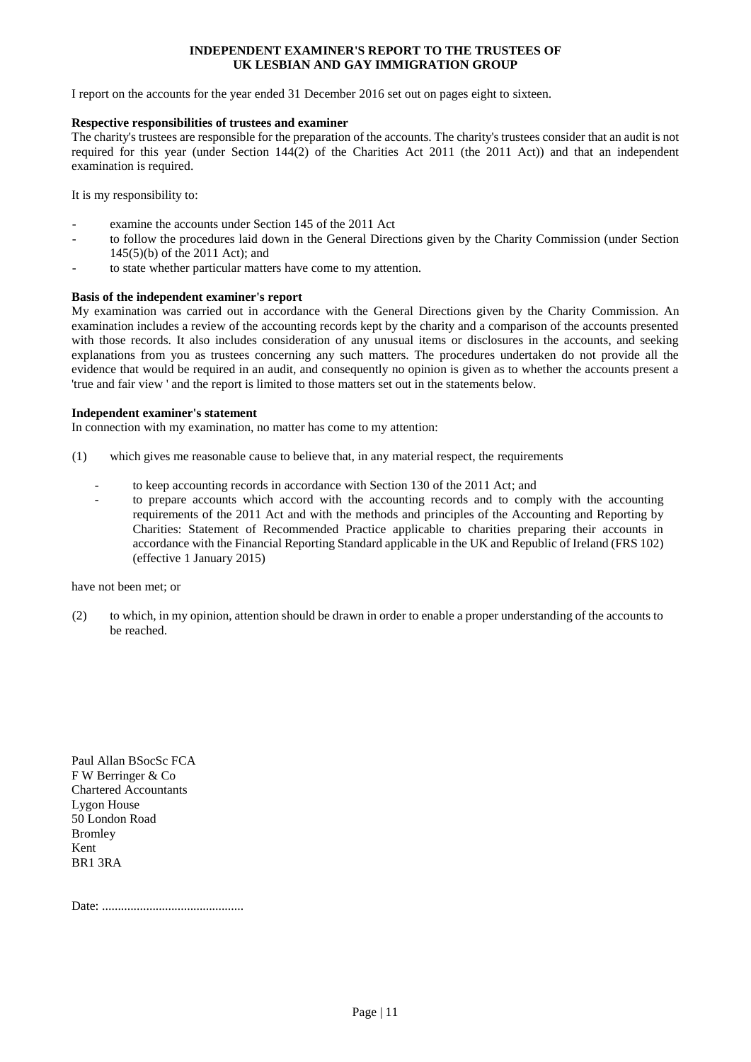#### **INDEPENDENT EXAMINER'S REPORT TO THE TRUSTEES OF UK LESBIAN AND GAY IMMIGRATION GROUP**

I report on the accounts for the year ended 31 December 2016 set out on pages eight to sixteen.

#### **Respective responsibilities of trustees and examiner**

The charity's trustees are responsible for the preparation of the accounts. The charity's trustees consider that an audit is not required for this year (under Section 144(2) of the Charities Act 2011 (the 2011 Act)) and that an independent examination is required.

It is my responsibility to:

- examine the accounts under Section 145 of the 2011 Act
- to follow the procedures laid down in the General Directions given by the Charity Commission (under Section 145(5)(b) of the 2011 Act); and
- to state whether particular matters have come to my attention.

#### **Basis of the independent examiner's report**

My examination was carried out in accordance with the General Directions given by the Charity Commission. An examination includes a review of the accounting records kept by the charity and a comparison of the accounts presented with those records. It also includes consideration of any unusual items or disclosures in the accounts, and seeking explanations from you as trustees concerning any such matters. The procedures undertaken do not provide all the evidence that would be required in an audit, and consequently no opinion is given as to whether the accounts present a 'true and fair view ' and the report is limited to those matters set out in the statements below.

#### **Independent examiner's statement**

In connection with my examination, no matter has come to my attention:

- (1) which gives me reasonable cause to believe that, in any material respect, the requirements
	- to keep accounting records in accordance with Section 130 of the 2011 Act; and
	- to prepare accounts which accord with the accounting records and to comply with the accounting requirements of the 2011 Act and with the methods and principles of the Accounting and Reporting by Charities: Statement of Recommended Practice applicable to charities preparing their accounts in accordance with the Financial Reporting Standard applicable in the UK and Republic of Ireland (FRS 102) (effective 1 January 2015)

have not been met; or

(2) to which, in my opinion, attention should be drawn in order to enable a proper understanding of the accounts to be reached.

Paul Allan BSocSc FCA F W Berringer & Co Chartered Accountants Lygon House 50 London Road Bromley Kent BR1 3RA

Date: .............................................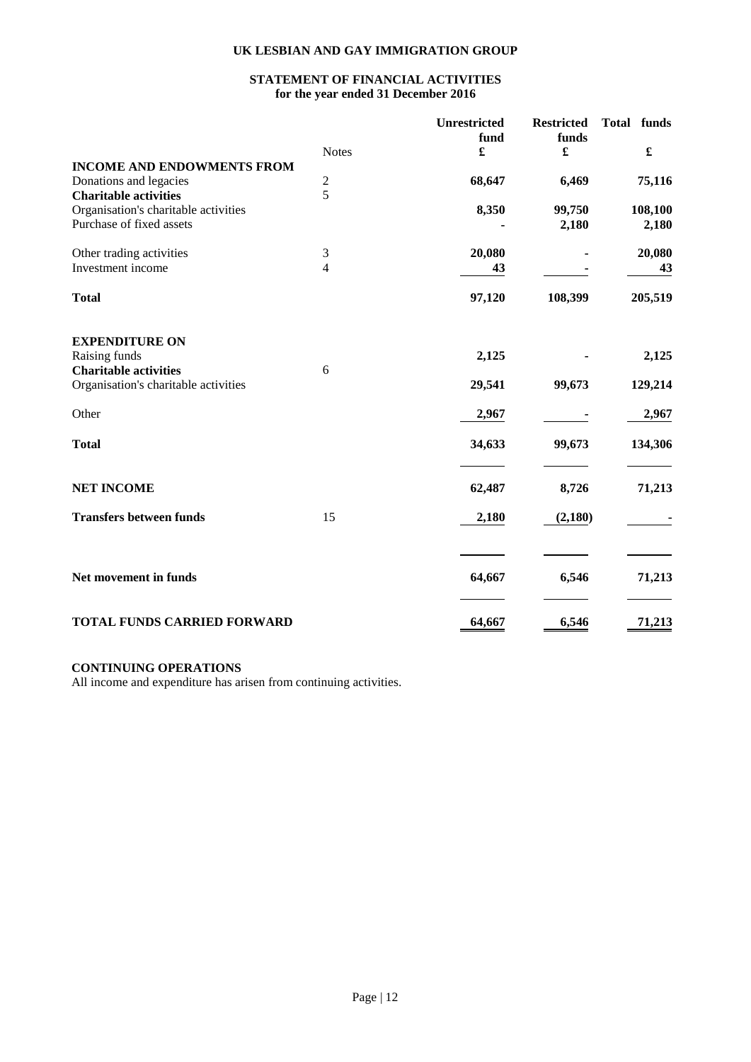# **STATEMENT OF FINANCIAL ACTIVITIES for the year ended 31 December 2016**

|                                                                      | <b>Notes</b>             | Unrestricted<br>fund<br>£ | <b>Restricted</b><br>funds<br>£ | <b>Total</b><br>funds<br>£ |
|----------------------------------------------------------------------|--------------------------|---------------------------|---------------------------------|----------------------------|
| <b>INCOME AND ENDOWMENTS FROM</b>                                    |                          |                           |                                 |                            |
| Donations and legacies                                               |                          | 68,647                    | 6,469                           | 75,116                     |
| <b>Charitable activities</b>                                         | $\frac{2}{5}$            |                           |                                 |                            |
| Organisation's charitable activities                                 |                          | 8,350                     | 99,750                          | 108,100                    |
| Purchase of fixed assets                                             |                          |                           | 2,180                           | 2,180                      |
| Other trading activities                                             | 3                        | 20,080                    |                                 | 20,080                     |
| Investment income                                                    | $\overline{\mathcal{L}}$ | 43                        |                                 | 43                         |
| <b>Total</b>                                                         |                          | 97,120                    | 108,399                         | 205,519                    |
| <b>EXPENDITURE ON</b>                                                |                          |                           |                                 |                            |
| Raising funds                                                        |                          | 2,125                     |                                 | 2,125                      |
| <b>Charitable activities</b><br>Organisation's charitable activities | 6                        | 29,541                    | 99,673                          | 129,214                    |
| Other                                                                |                          | 2,967                     |                                 | 2,967                      |
| <b>Total</b>                                                         |                          | 34,633                    | 99,673                          | 134,306                    |
| <b>NET INCOME</b>                                                    |                          | 62,487                    | 8,726                           | 71,213                     |
| <b>Transfers between funds</b>                                       | 15                       | 2,180                     | (2,180)                         |                            |
|                                                                      |                          |                           |                                 |                            |
| Net movement in funds                                                |                          | 64,667                    | 6,546                           | 71,213                     |
| <b>TOTAL FUNDS CARRIED FORWARD</b>                                   |                          | 64,667                    | 6,546                           | 71,213                     |

# **CONTINUING OPERATIONS**

All income and expenditure has arisen from continuing activities.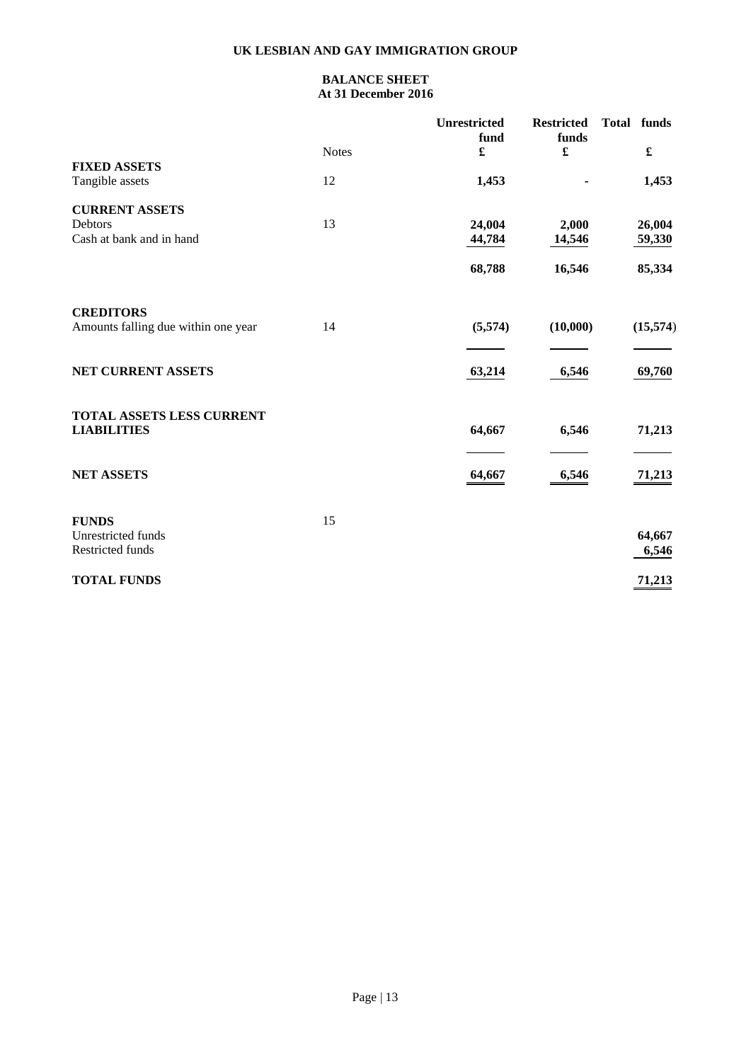# **BALANCE SHEET At 31 December 2016**

|                                                        |              | <b>Unrestricted</b><br>fund | <b>Restricted</b><br>funds | funds<br><b>Total</b> |
|--------------------------------------------------------|--------------|-----------------------------|----------------------------|-----------------------|
| <b>FIXED ASSETS</b>                                    | <b>Notes</b> | £                           | £                          | $\pmb{\mathfrak{L}}$  |
| Tangible assets                                        | 12           | 1,453                       |                            | 1,453                 |
| <b>CURRENT ASSETS</b>                                  |              |                             |                            |                       |
| Debtors                                                | 13           | 24,004                      | 2,000                      | 26,004                |
| Cash at bank and in hand                               |              | 44,784                      | 14,546                     | 59,330                |
|                                                        |              | 68,788                      | 16,546                     | 85,334                |
| <b>CREDITORS</b>                                       |              |                             |                            |                       |
| Amounts falling due within one year                    | 14           | (5,574)                     | (10,000)                   | (15, 574)             |
| NET CURRENT ASSETS                                     |              | 63,214                      | 6,546                      | 69,760                |
| <b>TOTAL ASSETS LESS CURRENT</b><br><b>LIABILITIES</b> |              | 64,667                      | 6,546                      | 71,213                |
|                                                        |              |                             |                            |                       |
| <b>NET ASSETS</b>                                      |              | 64,667                      | 6,546                      | 71,213                |
| <b>FUNDS</b>                                           | 15           |                             |                            |                       |
| Unrestricted funds                                     |              |                             |                            | 64,667                |
| Restricted funds                                       |              |                             |                            | 6,546                 |
|                                                        |              |                             |                            |                       |
| <b>TOTAL FUNDS</b>                                     |              |                             |                            | 71,213                |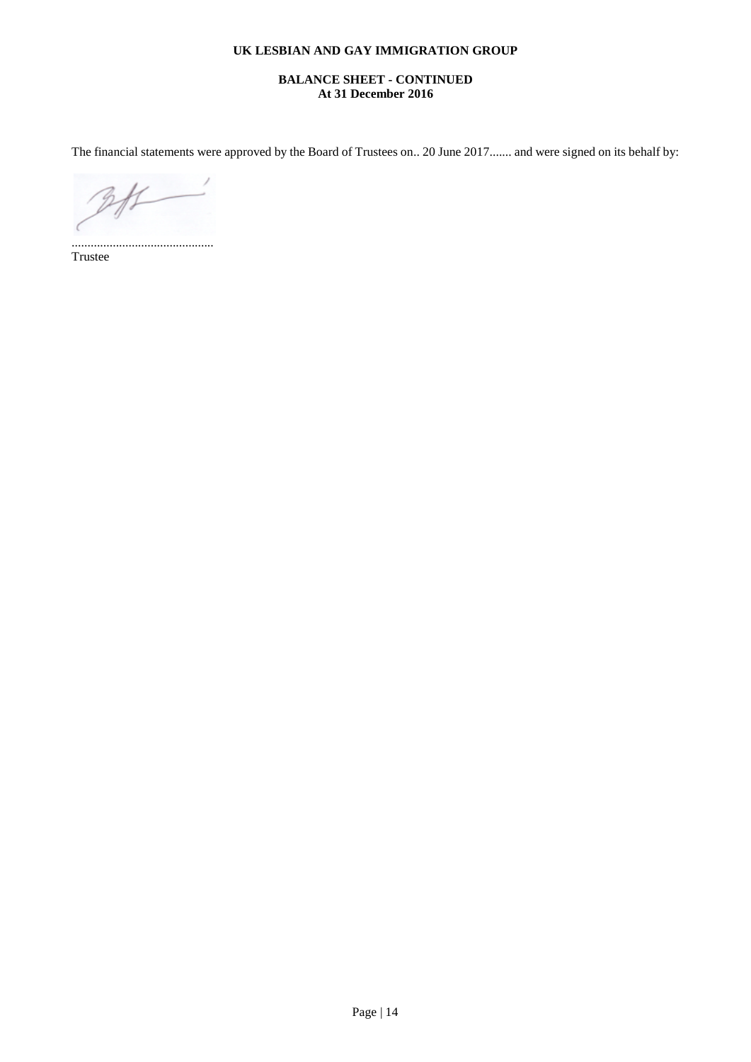# **BALANCE SHEET - CONTINUED At 31 December 2016**

The financial statements were approved by the Board of Trustees on.. 20 June 2017....... and were signed on its behalf by:

 $#$ 

............................................. Trustee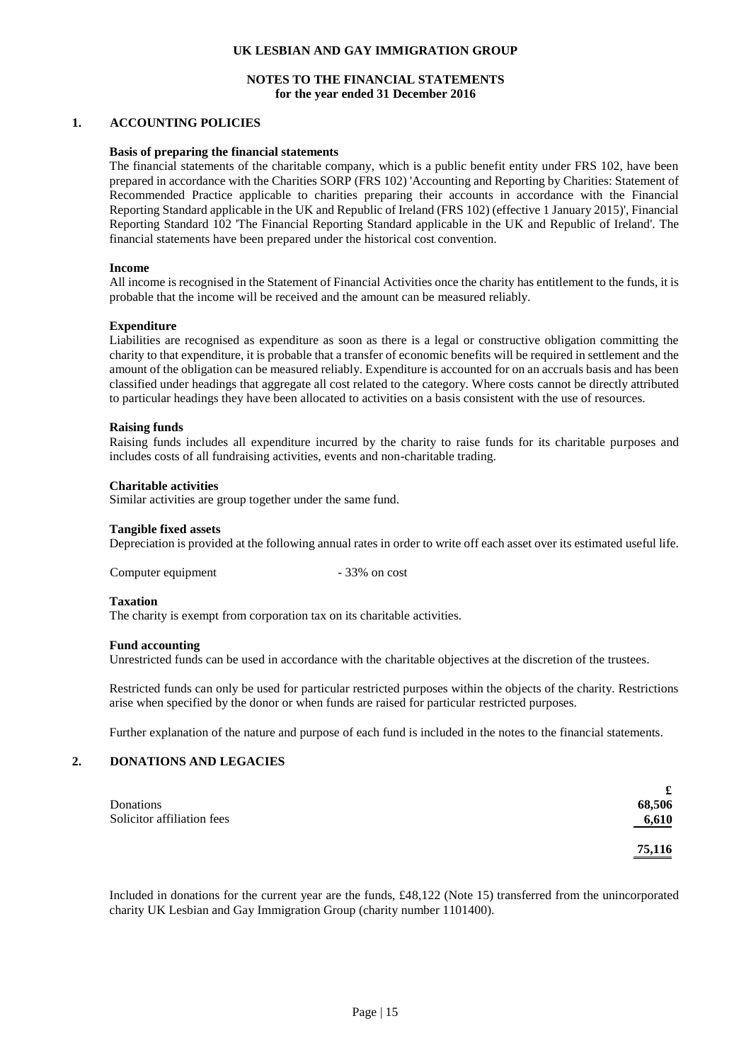## **NOTES TO THE FINANCIAL STATEMENTS for the year ended 31 December 2016**

#### **1. ACCOUNTING POLICIES**

#### **Basis of preparing the financial statements**

The financial statements of the charitable company, which is a public benefit entity under FRS 102, have been prepared in accordance with the Charities SORP (FRS 102) 'Accounting and Reporting by Charities: Statement of Recommended Practice applicable to charities preparing their accounts in accordance with the Financial Reporting Standard applicable in the UK and Republic of Ireland (FRS 102) (effective 1 January 2015)', Financial Reporting Standard 102 'The Financial Reporting Standard applicable in the UK and Republic of Ireland'. The financial statements have been prepared under the historical cost convention.

#### **Income**

All income is recognised in the Statement of Financial Activities once the charity has entitlement to the funds, it is probable that the income will be received and the amount can be measured reliably.

#### **Expenditure**

Liabilities are recognised as expenditure as soon as there is a legal or constructive obligation committing the charity to that expenditure, it is probable that a transfer of economic benefits will be required in settlement and the amount of the obligation can be measured reliably. Expenditure is accounted for on an accruals basis and has been classified under headings that aggregate all cost related to the category. Where costs cannot be directly attributed to particular headings they have been allocated to activities on a basis consistent with the use of resources.

#### **Raising funds**

Raising funds includes all expenditure incurred by the charity to raise funds for its charitable purposes and includes costs of all fundraising activities, events and non-charitable trading.

#### **Charitable activities**

Similar activities are group together under the same fund.

#### **Tangible fixed assets**

Depreciation is provided at the following annual rates in order to write off each asset over its estimated useful life.

Computer equipment - 33% on cost

#### **Taxation**

The charity is exempt from corporation tax on its charitable activities.

#### **Fund accounting**

Unrestricted funds can be used in accordance with the charitable objectives at the discretion of the trustees.

Restricted funds can only be used for particular restricted purposes within the objects of the charity. Restrictions arise when specified by the donor or when funds are raised for particular restricted purposes.

Further explanation of the nature and purpose of each fund is included in the notes to the financial statements.

#### **2. DONATIONS AND LEGACIES**

|                            | £      |
|----------------------------|--------|
| Donations                  | 68,506 |
| Solicitor affiliation fees | 6,610  |
|                            | 75,116 |

Included in donations for the current year are the funds, £48,122 (Note 15) transferred from the unincorporated charity UK Lesbian and Gay Immigration Group (charity number 1101400).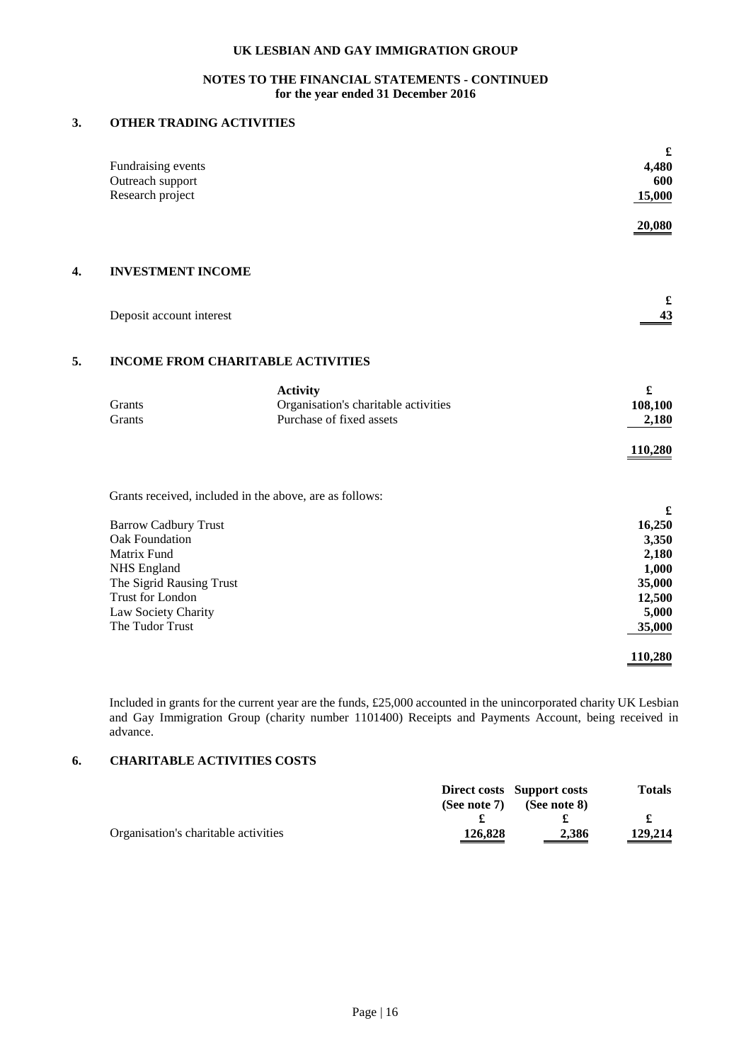# **NOTES TO THE FINANCIAL STATEMENTS - CONTINUED for the year ended 31 December 2016**

# **3. OTHER TRADING ACTIVITIES**

|    | Fundraising events<br>Outreach support<br>Research project                                                                                                                   |                                                                                     | $\pmb{\pmb{\cdot}}$<br>4,480<br>600<br>15,000                                 |
|----|------------------------------------------------------------------------------------------------------------------------------------------------------------------------------|-------------------------------------------------------------------------------------|-------------------------------------------------------------------------------|
|    |                                                                                                                                                                              |                                                                                     | 20,080                                                                        |
| 4. | <b>INVESTMENT INCOME</b>                                                                                                                                                     |                                                                                     |                                                                               |
|    | Deposit account interest                                                                                                                                                     |                                                                                     | £<br>43                                                                       |
| 5. | <b>INCOME FROM CHARITABLE ACTIVITIES</b>                                                                                                                                     |                                                                                     |                                                                               |
|    | Grants<br>Grants                                                                                                                                                             | <b>Activity</b><br>Organisation's charitable activities<br>Purchase of fixed assets | $\pmb{\mathfrak{L}}$<br>108,100<br>2,180<br>110,280                           |
|    | Grants received, included in the above, are as follows:                                                                                                                      |                                                                                     |                                                                               |
|    | <b>Barrow Cadbury Trust</b><br>Oak Foundation<br>Matrix Fund<br><b>NHS</b> England<br>The Sigrid Rausing Trust<br>Trust for London<br>Law Society Charity<br>The Tudor Trust |                                                                                     | £<br>16,250<br>3,350<br>2,180<br>1,000<br>35,000<br>12,500<br>5,000<br>35,000 |
|    |                                                                                                                                                                              |                                                                                     | 110,280                                                                       |

Included in grants for the current year are the funds, £25,000 accounted in the unincorporated charity UK Lesbian and Gay Immigration Group (charity number 1101400) Receipts and Payments Account, being received in advance.

# **6. CHARITABLE ACTIVITIES COSTS**

|                                      |                 | <b>Direct costs</b> Support costs | <b>Totals</b>                       |
|--------------------------------------|-----------------|-----------------------------------|-------------------------------------|
|                                      | (See note $7$ ) | (See note 8)                      |                                     |
|                                      |                 |                                   |                                     |
| Organisation's charitable activities | 126,828         | 2,386                             | 129,214<br>$\overline{\phantom{a}}$ |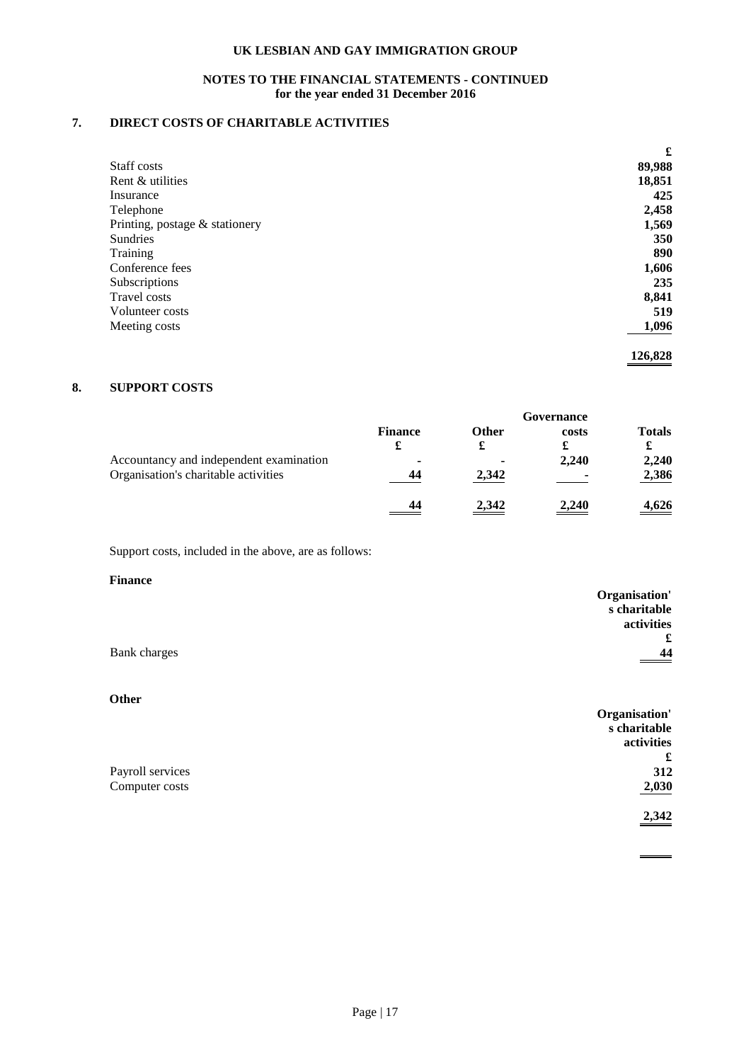# **NOTES TO THE FINANCIAL STATEMENTS - CONTINUED for the year ended 31 December 2016**

# **7. DIRECT COSTS OF CHARITABLE ACTIVITIES**

|                                | £      |
|--------------------------------|--------|
| Staff costs                    | 89,988 |
| Rent & utilities               | 18,851 |
| Insurance                      | 425    |
| Telephone                      | 2,458  |
| Printing, postage & stationery | 1,569  |
| Sundries                       | 350    |
| Training                       | 890    |
| Conference fees                | 1,606  |
| Subscriptions                  | 235    |
| Travel costs                   | 8,841  |
| Volunteer costs                | 519    |
| Meeting costs                  | 1,096  |

**126,828**

# **8. SUPPORT COSTS**

|                                         | Governance     |              |       |               |
|-----------------------------------------|----------------|--------------|-------|---------------|
|                                         | <b>Finance</b> | <b>Other</b> | costs | <b>Totals</b> |
|                                         | £              | a.           | £     | £             |
| Accountancy and independent examination | ۰              | 2,342        | 2,240 | 2,240         |
| Organisation's charitable activities    | 44             |              |       | 2,386         |
|                                         | 44             | <u>2,342</u> | 2,240 | <u>4,626</u>  |

Support costs, included in the above, are as follows:

#### **Finance**

|              | Organisation' |
|--------------|---------------|
|              | s charitable  |
|              | activities    |
|              | £             |
| Bank charges | 44<br>_____   |

# **Other**

| $\mathbf v$ uw   | Organisation' |
|------------------|---------------|
|                  | s charitable  |
|                  | activities    |
|                  | £             |
| Payroll services | 312           |
| Computer costs   | 2,030         |
|                  | 2,342         |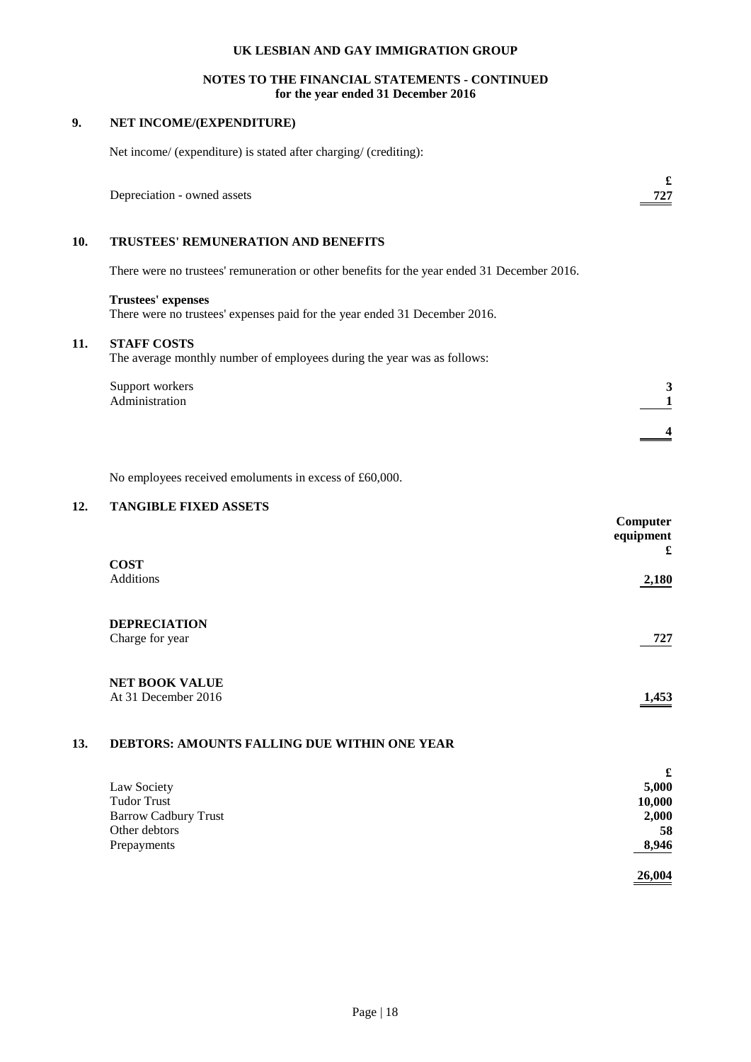## **NOTES TO THE FINANCIAL STATEMENTS - CONTINUED for the year ended 31 December 2016**

# **9. NET INCOME/(EXPENDITURE)**

|     | Net income/ (expenditure) is stated after charging/ (crediting):                                        |   |
|-----|---------------------------------------------------------------------------------------------------------|---|
|     | Depreciation - owned assets                                                                             | £ |
| 10. | TRUSTEES' REMUNERATION AND BENEFITS                                                                     |   |
|     | There were no trustees' remuneration or other benefits for the year ended 31 December 2016.             |   |
|     | <b>Trustees' expenses</b><br>There were no trustees' expenses paid for the year ended 31 December 2016. |   |
| 11. | <b>STAFF COSTS</b><br>The average monthly number of employees during the year was as follows:           |   |
|     | Support workers<br>Administration                                                                       |   |
|     |                                                                                                         |   |
|     | No employees received emoluments in excess of £60,000.                                                  |   |

# **12. TANGIBLE FIXED ASSETS**

|                                              | Computer<br>equipment<br>£ |
|----------------------------------------------|----------------------------|
| <b>COST</b><br>Additions                     | 2,180                      |
| <b>DEPRECIATION</b><br>Charge for year       | 727                        |
| <b>NET BOOK VALUE</b><br>At 31 December 2016 | 1,453                      |

## **13. DEBTORS: AMOUNTS FALLING DUE WITHIN ONE YEAR**

|                             | £      |
|-----------------------------|--------|
| Law Society                 | 5,000  |
| <b>Tudor Trust</b>          | 10,000 |
| <b>Barrow Cadbury Trust</b> | 2,000  |
| Other debtors               | 58     |
| Prepayments                 | 8,946  |
|                             | 26,004 |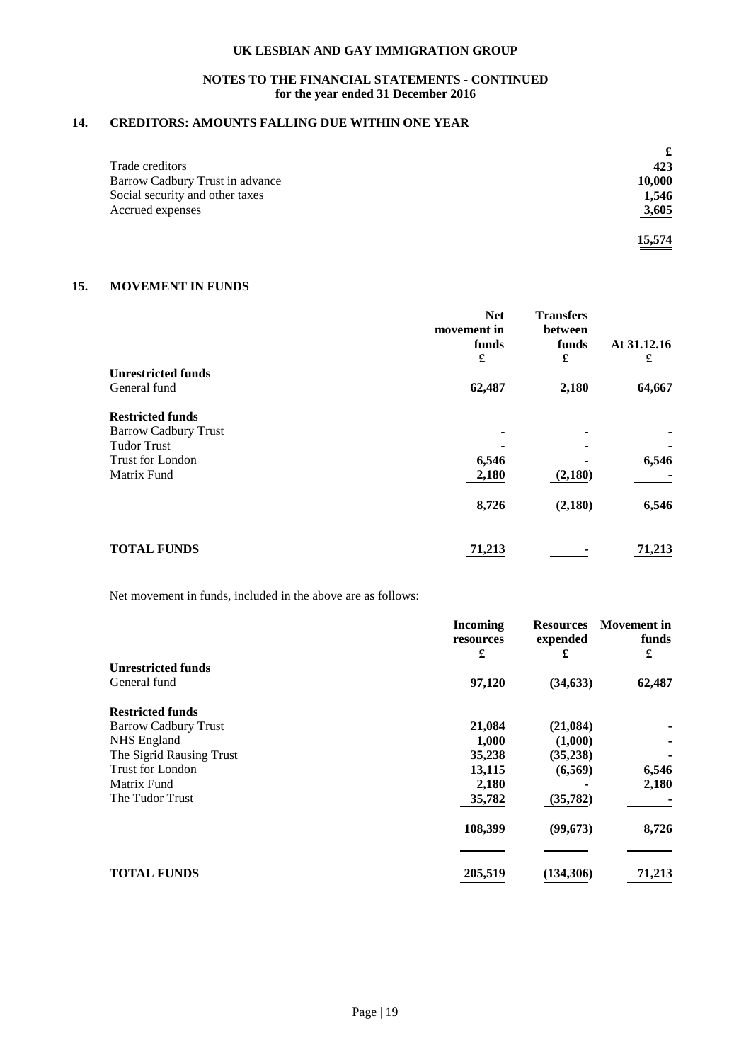## **NOTES TO THE FINANCIAL STATEMENTS - CONTINUED for the year ended 31 December 2016**

# **14. CREDITORS: AMOUNTS FALLING DUE WITHIN ONE YEAR**

|                                 | £      |
|---------------------------------|--------|
| Trade creditors                 | 423    |
| Barrow Cadbury Trust in advance | 10,000 |
| Social security and other taxes | 1,546  |
| Accrued expenses                | 3,605  |
|                                 | 15,574 |

# **15. MOVEMENT IN FUNDS**

|                             | <b>Net</b><br>movement in<br>funds<br>£ | <b>Transfers</b><br>between<br>funds<br>£ | At 31.12.16<br>£ |
|-----------------------------|-----------------------------------------|-------------------------------------------|------------------|
| <b>Unrestricted funds</b>   |                                         |                                           |                  |
| General fund                | 62,487                                  | 2,180                                     | 64,667           |
| <b>Restricted funds</b>     |                                         |                                           |                  |
| <b>Barrow Cadbury Trust</b> |                                         |                                           |                  |
| <b>Tudor Trust</b>          |                                         |                                           |                  |
| <b>Trust for London</b>     | 6,546                                   |                                           | 6,546            |
| Matrix Fund                 | 2,180                                   | (2,180)                                   |                  |
|                             | 8,726                                   | (2,180)                                   | 6,546            |
|                             |                                         |                                           |                  |
| <b>TOTAL FUNDS</b>          | 71,213                                  |                                           | 71,213           |

Net movement in funds, included in the above are as follows:

|                             | <b>Incoming</b><br>resources | <b>Resources</b><br>expended | <b>Movement</b> in<br>funds |
|-----------------------------|------------------------------|------------------------------|-----------------------------|
|                             | £                            | £                            | £                           |
| <b>Unrestricted funds</b>   |                              |                              |                             |
| General fund                | 97,120                       | (34, 633)                    | 62,487                      |
| <b>Restricted funds</b>     |                              |                              |                             |
| <b>Barrow Cadbury Trust</b> | 21,084                       | (21,084)                     |                             |
| NHS England                 | 1,000                        | (1,000)                      |                             |
| The Sigrid Rausing Trust    | 35,238                       | (35, 238)                    |                             |
| Trust for London            | 13,115                       | (6,569)                      | 6,546                       |
| Matrix Fund                 | 2,180                        |                              | 2,180                       |
| The Tudor Trust             | 35,782                       | (35, 782)                    |                             |
|                             | 108,399                      | (99, 673)                    | 8,726                       |
|                             |                              |                              |                             |
| <b>TOTAL FUNDS</b>          | 205,519                      | (134, 306)                   | 71,213                      |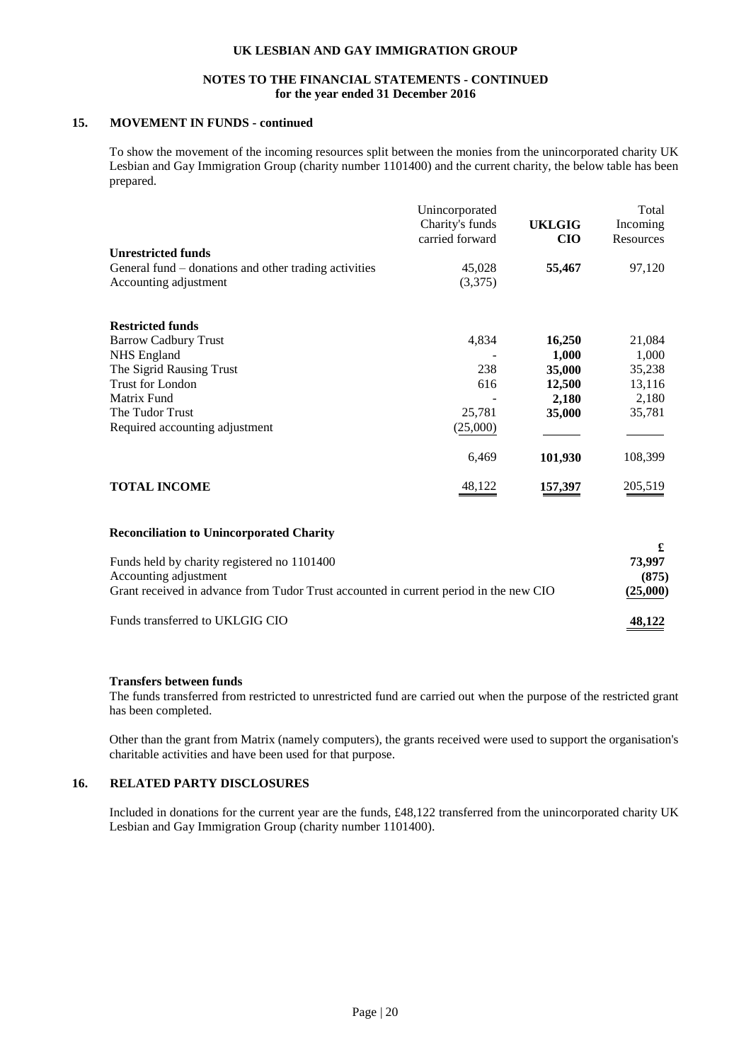#### **NOTES TO THE FINANCIAL STATEMENTS - CONTINUED for the year ended 31 December 2016**

# **15. MOVEMENT IN FUNDS - continued**

To show the movement of the incoming resources split between the monies from the unincorporated charity UK Lesbian and Gay Immigration Group (charity number 1101400) and the current charity, the below table has been prepared.

| Unincorporated  |                            | Total                      |
|-----------------|----------------------------|----------------------------|
| Charity's funds | UKLGIG                     | Incoming                   |
| carried forward | <b>CIO</b>                 | Resources                  |
|                 |                            |                            |
|                 |                            | 97,120                     |
|                 |                            |                            |
|                 |                            |                            |
|                 |                            |                            |
|                 |                            | 21,084                     |
|                 | 1,000                      | 1,000                      |
| 238             | 35,000                     | 35,238                     |
| 616             | 12,500                     | 13,116                     |
|                 | 2,180                      | 2,180                      |
| 25,781          |                            | 35,781                     |
| (25,000)        |                            |                            |
| 6,469           | 101,930                    | 108,399                    |
| 48,122          | 157,397                    | 205,519                    |
|                 | 45,028<br>(3,375)<br>4,834 | 55,467<br>16,250<br>35,000 |

#### **Reconciliation to Unincorporated Charity**

| Funds held by charity registered no 1101400                                           | 73.997   |
|---------------------------------------------------------------------------------------|----------|
| Accounting adjustment                                                                 | (875)    |
| Grant received in advance from Tudor Trust accounted in current period in the new CIO | (25,000) |
| Funds transferred to UKLGIG CIO                                                       | 48.122   |

### **Transfers between funds**

The funds transferred from restricted to unrestricted fund are carried out when the purpose of the restricted grant has been completed.

Other than the grant from Matrix (namely computers), the grants received were used to support the organisation's charitable activities and have been used for that purpose.

# **16. RELATED PARTY DISCLOSURES**

Included in donations for the current year are the funds, £48,122 transferred from the unincorporated charity UK Lesbian and Gay Immigration Group (charity number 1101400).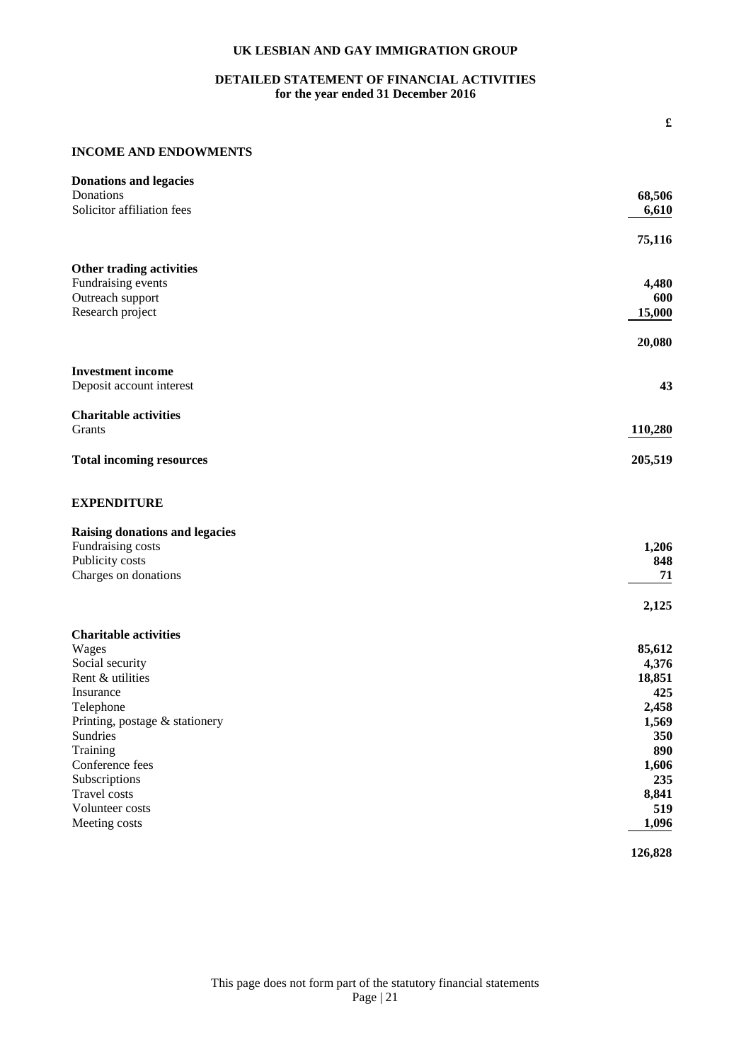# **DETAILED STATEMENT OF FINANCIAL ACTIVITIES for the year ended 31 December 2016**

## **INCOME AND ENDOWMENTS**

| <b>Donations and legacies</b>         |              |
|---------------------------------------|--------------|
| Donations                             | 68,506       |
| Solicitor affiliation fees            | 6,610        |
|                                       | 75,116       |
| Other trading activities              |              |
| Fundraising events                    | 4,480        |
| Outreach support                      | 600          |
| Research project                      | 15,000       |
|                                       | 20,080       |
| <b>Investment income</b>              |              |
| Deposit account interest              | 43           |
| <b>Charitable activities</b>          |              |
| Grants                                | 110,280      |
| <b>Total incoming resources</b>       | 205,519      |
| <b>EXPENDITURE</b>                    |              |
| <b>Raising donations and legacies</b> |              |
| Fundraising costs                     | 1,206        |
| Publicity costs                       | 848          |
| Charges on donations                  | 71           |
|                                       | 2,125        |
| <b>Charitable activities</b>          |              |
| Wages                                 | 85,612       |
| Social security                       | 4,376        |
| Rent & utilities                      | 18,851       |
| Insurance                             | 425          |
| Telephone                             | 2,458        |
| Printing, postage & stationery        | 1,569        |
| <b>Sundries</b>                       | 350          |
| Training                              | 890          |
| Conference fees                       | 1,606        |
| Subscriptions                         | 235          |
| Travel costs                          | 8,841        |
| Volunteer costs<br>Meeting costs      | 519<br>1,096 |
|                                       |              |
|                                       | 126,828      |